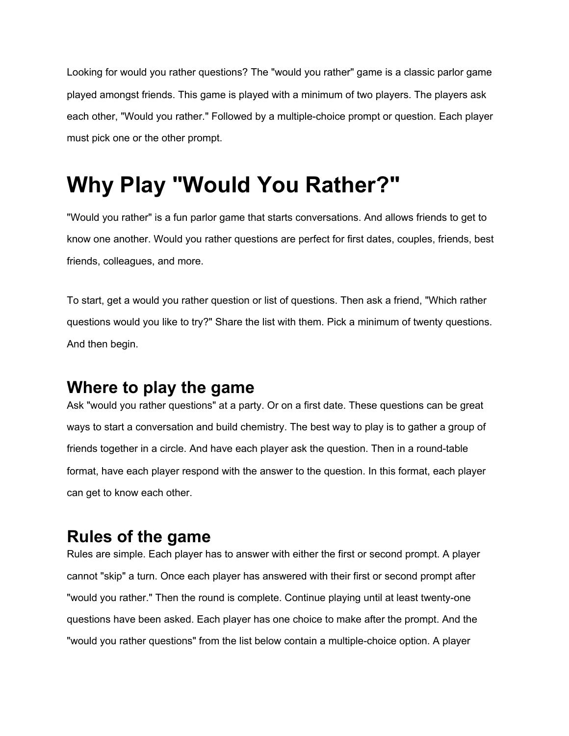Looking for would you rather questions? The "would you rather" game is a classic parlor game played amongst friends. This game is played with a minimum of two players. The players ask each other, "Would you rather." Followed by a multiple-choice prompt or question. Each player must pick one or the other prompt.

## **Why Play "Would You Rather?"**

"Would you rather" is a fun parlor game that starts conversations. And allows friends to get to know one another. Would you rather questions are perfect for first dates, couples, friends, best friends, colleagues, and more.

To start, get a would you rather question or list of questions. Then ask a friend, "Which rather questions would you like to try?" Share the list with them. Pick a minimum of twenty questions. And then begin.

#### **Where to play the game**

Ask "would you rather questions" at a party. Or on a first date. These questions can be great ways to start a conversation and build chemistry. The best way to play is to gather a group of friends together in a circle. And have each player ask the question. Then in a round-table format, have each player respond with the answer to the question. In this format, each player can get to know each other.

#### **Rules of the game**

Rules are simple. Each player has to answer with either the first or second prompt. A player cannot "skip" a turn. Once each player has answered with their first or second prompt after "would you rather." Then the round is complete. Continue playing until at least twenty-one questions have been asked. Each player has one choice to make after the prompt. And the "would you rather questions" from the list below contain a multiple-choice option. A player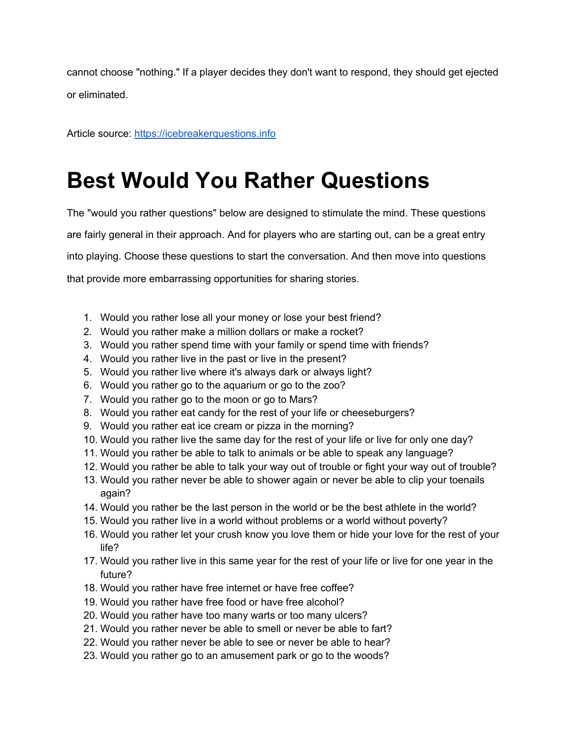cannot choose "nothing." If a player decides they don't want to respond, they should get ejected or eliminated.

Article source: [https://icebreakerquestions.info](https://icebreakerquestions.info/)

### **Best Would You Rather Questions**

The "would you rather questions" below are designed to stimulate the mind. These questions are fairly general in their approach. And for players who are starting out, can be a great entry into playing. Choose these questions to start the conversation. And then move into questions that provide more embarrassing opportunities for sharing stories.

- 1. Would you rather lose all your money or lose your best friend?
- 2. Would you rather make a million dollars or make a rocket?
- 3. Would you rather spend time with your family or spend time with friends?
- 4. Would you rather live in the past or live in the present?
- 5. Would you rather live where it's always dark or always light?
- 6. Would you rather go to the aquarium or go to the zoo?
- 7. Would you rather go to the moon or go to Mars?
- 8. Would you rather eat candy for the rest of your life or cheeseburgers?
- 9. Would you rather eat ice cream or pizza in the morning?
- 10. Would you rather live the same day for the rest of your life or live for only one day?
- 11. Would you rather be able to talk to animals or be able to speak any language?
- 12. Would you rather be able to talk your way out of trouble or fight your way out of trouble?
- 13. Would you rather never be able to shower again or never be able to clip your toenails again?
- 14. Would you rather be the last person in the world or be the best athlete in the world?
- 15. Would you rather live in a world without problems or a world without poverty?
- 16. Would you rather let your crush know you love them or hide your love for the rest of your life?
- 17. Would you rather live in this same year for the rest of your life or live for one year in the future?
- 18. Would you rather have free internet or have free coffee?
- 19. Would you rather have free food or have free alcohol?
- 20. Would you rather have too many warts or too many ulcers?
- 21. Would you rather never be able to smell or never be able to fart?
- 22. Would you rather never be able to see or never be able to hear?
- 23. Would you rather go to an amusement park or go to the woods?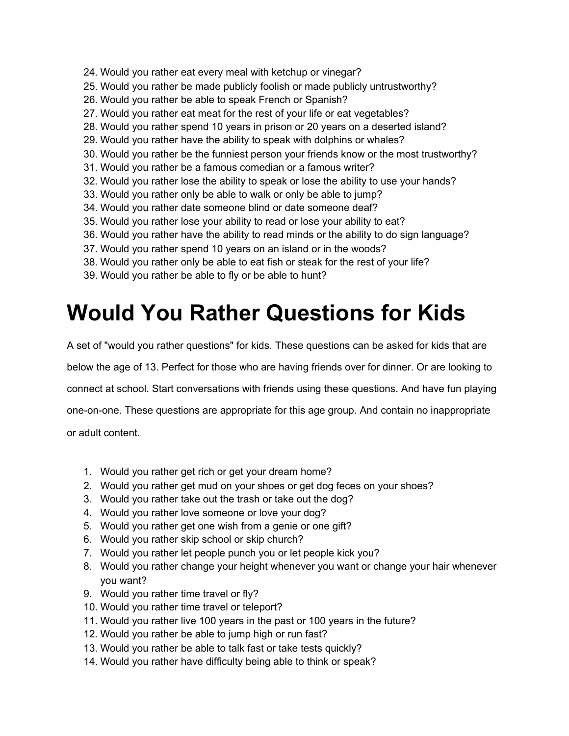- 24. Would you rather eat every meal with ketchup or vinegar?
- 25. Would you rather be made publicly foolish or made publicly untrustworthy?
- 26. Would you rather be able to speak French or Spanish?
- 27. Would you rather eat meat for the rest of your life or eat vegetables?
- 28. Would you rather spend 10 years in prison or 20 years on a deserted island?
- 29. Would you rather have the ability to speak with dolphins or whales?
- 30. Would you rather be the funniest person your friends know or the most trustworthy?
- 31. Would you rather be a famous comedian or a famous writer?
- 32. Would you rather lose the ability to speak or lose the ability to use your hands?
- 33. Would you rather only be able to walk or only be able to jump?
- 34. Would you rather date someone blind or date someone deaf?
- 35. Would you rather lose your ability to read or lose your ability to eat?
- 36. Would you rather have the ability to read minds or the ability to do sign language?
- 37. Would you rather spend 10 years on an island or in the woods?
- 38. Would you rather only be able to eat fish or steak for the rest of your life?
- 39. Would you rather be able to fly or be able to hunt?

### **Would You Rather Questions for Kids**

A set of "would you rather questions" for kids. These questions can be asked for kids that are

below the age of 13. Perfect for those who are having friends over for dinner. Or are looking to

connect at school. Start conversations with friends using these questions. And have fun playing

one-on-one. These questions are appropriate for this age group. And contain no inappropriate

or adult content.

- 1. Would you rather get rich or get your dream home?
- 2. Would you rather get mud on your shoes or get dog feces on your shoes?
- 3. Would you rather take out the trash or take out the dog?
- 4. Would you rather love someone or love your dog?
- 5. Would you rather get one wish from a genie or one gift?
- 6. Would you rather skip school or skip church?
- 7. Would you rather let people punch you or let people kick you?
- 8. Would you rather change your height whenever you want or change your hair whenever you want?
- 9. Would you rather time travel or fly?
- 10. Would you rather time travel or teleport?
- 11. Would you rather live 100 years in the past or 100 years in the future?
- 12. Would you rather be able to jump high or run fast?
- 13. Would you rather be able to talk fast or take tests quickly?
- 14. Would you rather have difficulty being able to think or speak?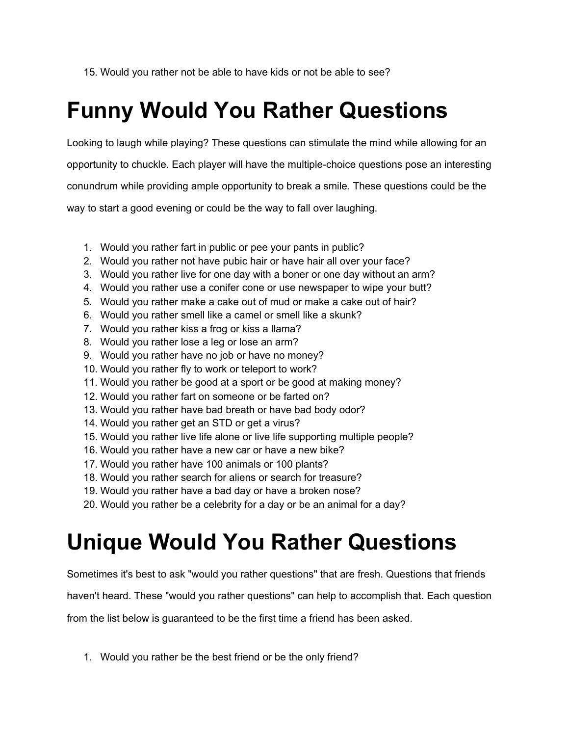15. Would you rather not be able to have kids or not be able to see?

# **Funny Would You Rather Questions**

Looking to laugh while playing? These questions can stimulate the mind while allowing for an opportunity to chuckle. Each player will have the multiple-choice questions pose an interesting conundrum while providing ample opportunity to break a smile. These questions could be the way to start a good evening or could be the way to fall over laughing.

- 1. Would you rather fart in public or pee your pants in public?
- 2. Would you rather not have pubic hair or have hair all over your face?
- 3. Would you rather live for one day with a boner or one day without an arm?
- 4. Would you rather use a conifer cone or use newspaper to wipe your butt?
- 5. Would you rather make a cake out of mud or make a cake out of hair?
- 6. Would you rather smell like a camel or smell like a skunk?
- 7. Would you rather kiss a frog or kiss a llama?
- 8. Would you rather lose a leg or lose an arm?
- 9. Would you rather have no job or have no money?
- 10. Would you rather fly to work or teleport to work?
- 11. Would you rather be good at a sport or be good at making money?
- 12. Would you rather fart on someone or be farted on?
- 13. Would you rather have bad breath or have bad body odor?
- 14. Would you rather get an STD or get a virus?
- 15. Would you rather live life alone or live life supporting multiple people?
- 16. Would you rather have a new car or have a new bike?
- 17. Would you rather have 100 animals or 100 plants?
- 18. Would you rather search for aliens or search for treasure?
- 19. Would you rather have a bad day or have a broken nose?
- 20. Would you rather be a celebrity for a day or be an animal for a day?

# **Unique Would You Rather Questions**

Sometimes it's best to ask "would you rather questions" that are fresh. Questions that friends

haven't heard. These "would you rather questions" can help to accomplish that. Each question

from the list below is guaranteed to be the first time a friend has been asked.

1. Would you rather be the best friend or be the only friend?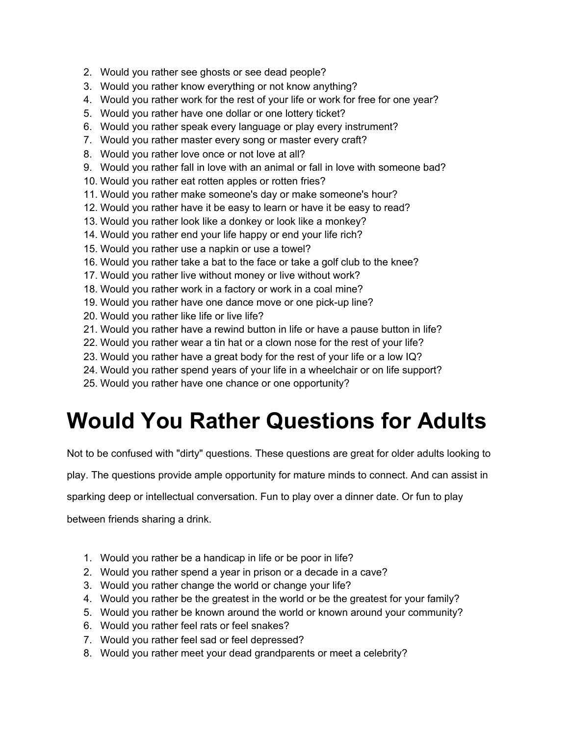- 2. Would you rather see ghosts or see dead people?
- 3. Would you rather know everything or not know anything?
- 4. Would you rather work for the rest of your life or work for free for one year?
- 5. Would you rather have one dollar or one lottery ticket?
- 6. Would you rather speak every language or play every instrument?
- 7. Would you rather master every song or master every craft?
- 8. Would you rather love once or not love at all?
- 9. Would you rather fall in love with an animal or fall in love with someone bad?
- 10. Would you rather eat rotten apples or rotten fries?
- 11. Would you rather make someone's day or make someone's hour?
- 12. Would you rather have it be easy to learn or have it be easy to read?
- 13. Would you rather look like a donkey or look like a monkey?
- 14. Would you rather end your life happy or end your life rich?
- 15. Would you rather use a napkin or use a towel?
- 16. Would you rather take a bat to the face or take a golf club to the knee?
- 17. Would you rather live without money or live without work?
- 18. Would you rather work in a factory or work in a coal mine?
- 19. Would you rather have one dance move or one pick-up line?
- 20. Would you rather like life or live life?
- 21. Would you rather have a rewind button in life or have a pause button in life?
- 22. Would you rather wear a tin hat or a clown nose for the rest of your life?
- 23. Would you rather have a great body for the rest of your life or a low IQ?
- 24. Would you rather spend years of your life in a wheelchair or on life support?
- 25. Would you rather have one chance or one opportunity?

### **Would You Rather Questions for Adults**

Not to be confused with "dirty" questions. These questions are great for older adults looking to

play. The questions provide ample opportunity for mature minds to connect. And can assist in

sparking deep or intellectual conversation. Fun to play over a dinner date. Or fun to play

between friends sharing a drink.

- 1. Would you rather be a handicap in life or be poor in life?
- 2. Would you rather spend a year in prison or a decade in a cave?
- 3. Would you rather change the world or change your life?
- 4. Would you rather be the greatest in the world or be the greatest for your family?
- 5. Would you rather be known around the world or known around your community?
- 6. Would you rather feel rats or feel snakes?
- 7. Would you rather feel sad or feel depressed?
- 8. Would you rather meet your dead grandparents or meet a celebrity?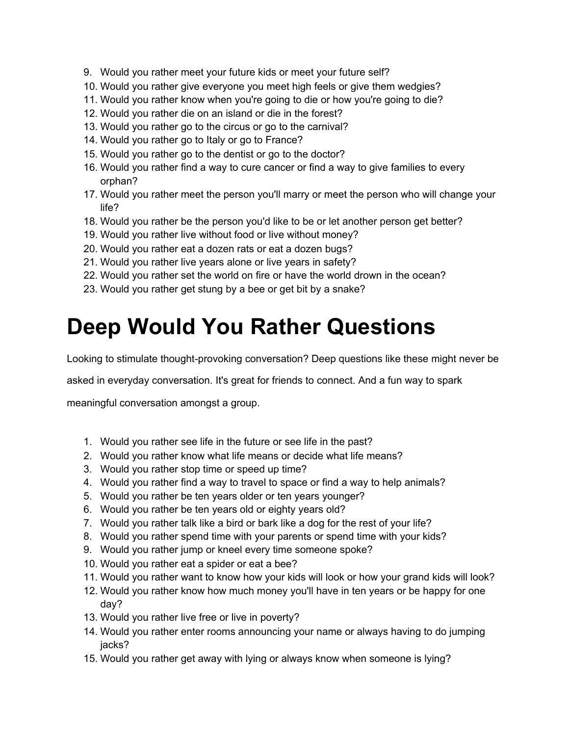- 9. Would you rather meet your future kids or meet your future self?
- 10. Would you rather give everyone you meet high feels or give them wedgies?
- 11. Would you rather know when you're going to die or how you're going to die?
- 12. Would you rather die on an island or die in the forest?
- 13. Would you rather go to the circus or go to the carnival?
- 14. Would you rather go to Italy or go to France?
- 15. Would you rather go to the dentist or go to the doctor?
- 16. Would you rather find a way to cure cancer or find a way to give families to every orphan?
- 17. Would you rather meet the person you'll marry or meet the person who will change your life?
- 18. Would you rather be the person you'd like to be or let another person get better?
- 19. Would you rather live without food or live without money?
- 20. Would you rather eat a dozen rats or eat a dozen bugs?
- 21. Would you rather live years alone or live years in safety?
- 22. Would you rather set the world on fire or have the world drown in the ocean?
- 23. Would you rather get stung by a bee or get bit by a snake?

### **Deep Would You Rather Questions**

Looking to stimulate thought-provoking conversation? Deep questions like these might never be

asked in everyday conversation. It's great for friends to connect. And a fun way to spark

meaningful conversation amongst a group.

- 1. Would you rather see life in the future or see life in the past?
- 2. Would you rather know what life means or decide what life means?
- 3. Would you rather stop time or speed up time?
- 4. Would you rather find a way to travel to space or find a way to help animals?
- 5. Would you rather be ten years older or ten years younger?
- 6. Would you rather be ten years old or eighty years old?
- 7. Would you rather talk like a bird or bark like a dog for the rest of your life?
- 8. Would you rather spend time with your parents or spend time with your kids?
- 9. Would you rather jump or kneel every time someone spoke?
- 10. Would you rather eat a spider or eat a bee?
- 11. Would you rather want to know how your kids will look or how your grand kids will look?
- 12. Would you rather know how much money you'll have in ten years or be happy for one day?
- 13. Would you rather live free or live in poverty?
- 14. Would you rather enter rooms announcing your name or always having to do jumping jacks?
- 15. Would you rather get away with lying or always know when someone is lying?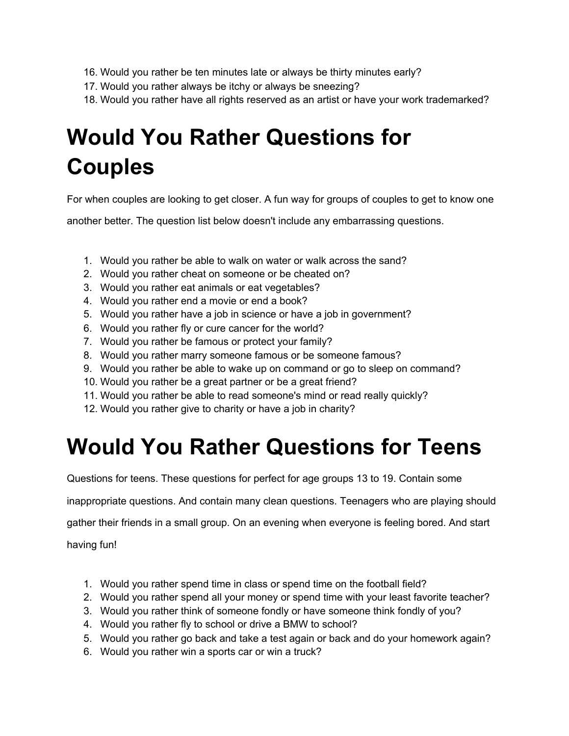- 16. Would you rather be ten minutes late or always be thirty minutes early?
- 17. Would you rather always be itchy or always be sneezing?
- 18. Would you rather have all rights reserved as an artist or have your work trademarked?

# **Would You Rather Questions for Couples**

For when couples are looking to get closer. A fun way for groups of couples to get to know one

another better. The question list below doesn't include any embarrassing questions.

- 1. Would you rather be able to walk on water or walk across the sand?
- 2. Would you rather cheat on someone or be cheated on?
- 3. Would you rather eat animals or eat vegetables?
- 4. Would you rather end a movie or end a book?
- 5. Would you rather have a job in science or have a job in government?
- 6. Would you rather fly or cure cancer for the world?
- 7. Would you rather be famous or protect your family?
- 8. Would you rather marry someone famous or be someone famous?
- 9. Would you rather be able to wake up on command or go to sleep on command?
- 10. Would you rather be a great partner or be a great friend?
- 11. Would you rather be able to read someone's mind or read really quickly?
- 12. Would you rather give to charity or have a job in charity?

### **Would You Rather Questions for Teens**

Questions for teens. These questions for perfect for age groups 13 to 19. Contain some

inappropriate questions. And contain many clean questions. Teenagers who are playing should

gather their friends in a small group. On an evening when everyone is feeling bored. And start

having fun!

- 1. Would you rather spend time in class or spend time on the football field?
- 2. Would you rather spend all your money or spend time with your least favorite teacher?
- 3. Would you rather think of someone fondly or have someone think fondly of you?
- 4. Would you rather fly to school or drive a BMW to school?
- 5. Would you rather go back and take a test again or back and do your homework again?
- 6. Would you rather win a sports car or win a truck?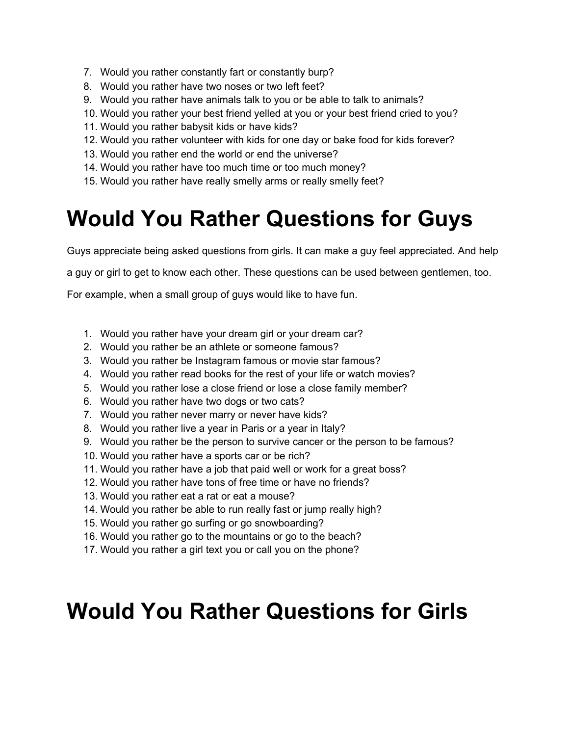- 7. Would you rather constantly fart or constantly burp?
- 8. Would you rather have two noses or two left feet?
- 9. Would you rather have animals talk to you or be able to talk to animals?
- 10. Would you rather your best friend yelled at you or your best friend cried to you?
- 11. Would you rather babysit kids or have kids?
- 12. Would you rather volunteer with kids for one day or bake food for kids forever?
- 13. Would you rather end the world or end the universe?
- 14. Would you rather have too much time or too much money?
- 15. Would you rather have really smelly arms or really smelly feet?

### **Would You Rather Questions for Guys**

Guys appreciate being asked questions from girls. It can make a guy feel appreciated. And help

a guy or girl to get to know each other. These questions can be used between gentlemen, too.

For example, when a small group of guys would like to have fun.

- 1. Would you rather have your dream girl or your dream car?
- 2. Would you rather be an athlete or someone famous?
- 3. Would you rather be Instagram famous or movie star famous?
- 4. Would you rather read books for the rest of your life or watch movies?
- 5. Would you rather lose a close friend or lose a close family member?
- 6. Would you rather have two dogs or two cats?
- 7. Would you rather never marry or never have kids?
- 8. Would you rather live a year in Paris or a year in Italy?
- 9. Would you rather be the person to survive cancer or the person to be famous?
- 10. Would you rather have a sports car or be rich?
- 11. Would you rather have a job that paid well or work for a great boss?
- 12. Would you rather have tons of free time or have no friends?
- 13. Would you rather eat a rat or eat a mouse?
- 14. Would you rather be able to run really fast or jump really high?
- 15. Would you rather go surfing or go snowboarding?
- 16. Would you rather go to the mountains or go to the beach?
- 17. Would you rather a girl text you or call you on the phone?

### **Would You Rather Questions for Girls**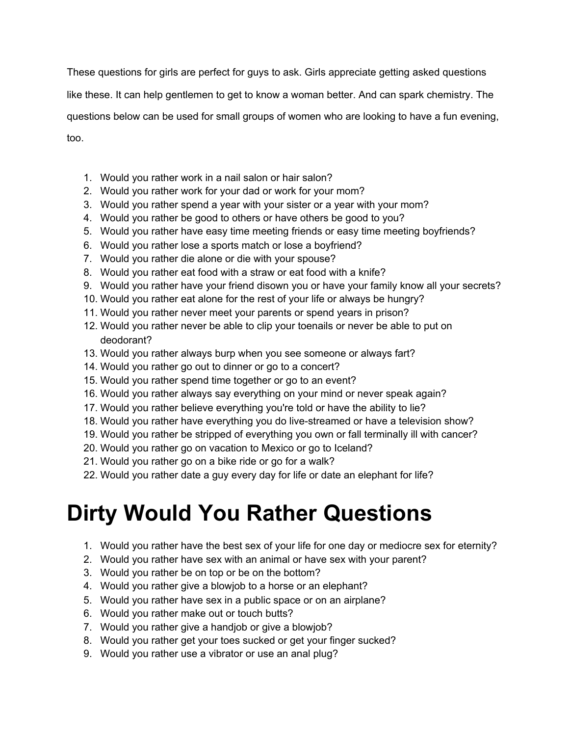These questions for girls are perfect for guys to ask. Girls appreciate getting asked questions

like these. It can help gentlemen to get to know a woman better. And can spark chemistry. The

questions below can be used for small groups of women who are looking to have a fun evening,

too.

- 1. Would you rather work in a nail salon or hair salon?
- 2. Would you rather work for your dad or work for your mom?
- 3. Would you rather spend a year with your sister or a year with your mom?
- 4. Would you rather be good to others or have others be good to you?
- 5. Would you rather have easy time meeting friends or easy time meeting boyfriends?
- 6. Would you rather lose a sports match or lose a boyfriend?
- 7. Would you rather die alone or die with your spouse?
- 8. Would you rather eat food with a straw or eat food with a knife?
- 9. Would you rather have your friend disown you or have your family know all your secrets?
- 10. Would you rather eat alone for the rest of your life or always be hungry?
- 11. Would you rather never meet your parents or spend years in prison?
- 12. Would you rather never be able to clip your toenails or never be able to put on deodorant?
- 13. Would you rather always burp when you see someone or always fart?
- 14. Would you rather go out to dinner or go to a concert?
- 15. Would you rather spend time together or go to an event?
- 16. Would you rather always say everything on your mind or never speak again?
- 17. Would you rather believe everything you're told or have the ability to lie?
- 18. Would you rather have everything you do live-streamed or have a television show?
- 19. Would you rather be stripped of everything you own or fall terminally ill with cancer?
- 20. Would you rather go on vacation to Mexico or go to Iceland?
- 21. Would you rather go on a bike ride or go for a walk?
- 22. Would you rather date a guy every day for life or date an elephant for life?

## **Dirty Would You Rather Questions**

- 1. Would you rather have the best sex of your life for one day or mediocre sex for eternity?
- 2. Would you rather have sex with an animal or have sex with your parent?
- 3. Would you rather be on top or be on the bottom?
- 4. Would you rather give a blowjob to a horse or an elephant?
- 5. Would you rather have sex in a public space or on an airplane?
- 6. Would you rather make out or touch butts?
- 7. Would you rather give a handjob or give a blowjob?
- 8. Would you rather get your toes sucked or get your finger sucked?
- 9. Would you rather use a vibrator or use an anal plug?